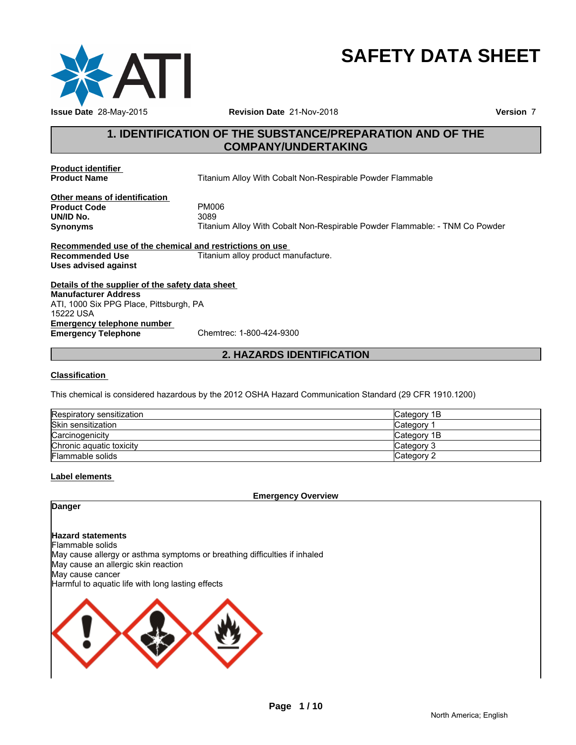

# **SAFETY DATA SHEET**

# **1. IDENTIFICATION OF THE SUBSTANCE/PREPARATION AND OF THE<br>
THE SUBSTANCE/PREPARATION AND OF THE<br>
THE SOMPANY/UNDERTAKING<br>
The COMPANY/UNDERTAKING COMPANY/UNDERTAKING**

**Product identifier<br>Product Name** 

**Titanium Alloy With Cobalt Non-Respirable Powder Flammable** 

**Other means of identification Product Code** PM00<br> **UN/ID No.** 3089 **UN/ID No.**<br>Synonyms

**Synonyms** Titanium Alloy With Cobalt Non-Respirable Powder Flammable: - TNM Co Powder <sup>3</sup><br>
im Alloy With Cobalt Non-Respirable Powder Flammable: - TNM Co Powder<br>
strictions on use<br>
2. HAZARDS IDENTIFICATION<br>
2. HAZARDS IDENTIFICATION<br>
2012 OSHA Hazard Communication Standard (29 CFR 1910.1200)

**Recommended use of the chemical and restrictions on use Recommended Use Titanium alloy product manufacture. Uses advised against**

**Details of the supplier of the safety data sheet Emergency telephone number**<br> **Emergency Telephone**<br>
Chemtrec: 1-800-424-9300 **Emergency Telephone Manufacturer Address** ATI, 1000 Six PPG Place, Pittsburgh, PA 15222 USA

### **Classification**

This chemical is considered hazardous by the 2012 OSHA Hazard Communication Standard (29 CFR 1910.1200)

| Respiratory sensitization | Category 1B |
|---------------------------|-------------|
| Skin sensitization        | Category    |
| Carcinogenicity           | Category 1B |
| Chronic aguatic toxicity  | Category 3  |
| <b>Flammable solids</b>   | Category 2  |

### **Label elements**

**Emergency Overview**

### **Danger**

## **Hazard statements**

Flammable solids

May cause allergy or asthma symptoms or breathing difficulties if inhaled May cause an allergic skin reaction

May cause cancer

Harmful to aquatic life with long lasting effects

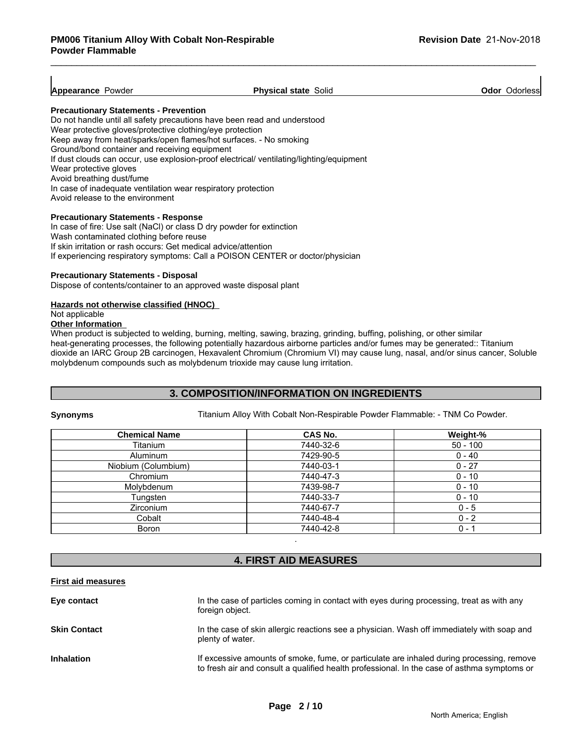### **Appearance Powder Physical state Solid Physical state Solid Physical state Solid Physical state Solid Physical**

### **Precautionary Statements - Prevention**

Do not handle until all safety precautions have been read and understood Wear protective gloves/protective clothing/eye protection Keep away from heat/sparks/open flames/hot surfaces. - No smoking Ground/bond container and receiving equipment If dust clouds can occur, use explosion-proof electrical/ ventilating/lighting/equipment Wear protective gloves Avoid breathing dust/fume In case of inadequate ventilation wear respiratory protection Avoid release to the environment

### **Precautionary Statements - Response**

In case of fire: Use salt (NaCl) or class D dry powder for extinction Wash contaminated clothing before reuse If skin irritation or rash occurs: Get medical advice/attention If experiencing respiratory symptoms: Call a POISON CENTER or doctor/physician

### **Precautionary Statements - Disposal**

Dispose of contents/container to an approved waste disposal plant

### **Hazards not otherwise classified (HNOC)**

Not applicable

### **Other Information**

When product is subjected to welding, burning, melting, sawing, brazing, grinding, buffing, polishing, or other similar heat-generating processes, the following potentially hazardous airborne particles and/or fumes may be generated:: Titanium dioxide an IARC Group 2B carcinogen, Hexavalent Chromium (Chromium VI) may cause lung, nasal, and/or sinus cancer, Soluble molybdenum compounds such as molybdenum trioxide may cause lung irritation.

### **3. COMPOSITION/INFORMATION ON INGREDIENTS**

**Synonyms** Titanium Alloy With Cobalt Non-Respirable Powder Flammable: - TNM Co Powder.

| <b>Chemical Name</b> | <b>CAS No.</b> | Weight-%   |
|----------------------|----------------|------------|
| Titanium             | 7440-32-6      | $50 - 100$ |
| Aluminum             | 7429-90-5      | $0 - 40$   |
| Niobium (Columbium)  | 7440-03-1      | $0 - 27$   |
| Chromium             | 7440-47-3      | $0 - 10$   |
| Molybdenum           | 7439-98-7      | $0 - 10$   |
| Tungsten             | 7440-33-7      | $0 - 10$   |
| <b>Zirconium</b>     | 7440-67-7      | $0 - 5$    |
| Cobalt               | 7440-48-4      | $0 - 2$    |
| <b>Boron</b>         | 7440-42-8      | $0 - 1$    |

### **4. FIRST AID MEASURES**

### **First aid measures**

| Eye contact         | In the case of particles coming in contact with eyes during processing, treat as with any<br>foreign object.                                                                             |
|---------------------|------------------------------------------------------------------------------------------------------------------------------------------------------------------------------------------|
| <b>Skin Contact</b> | In the case of skin allergic reactions see a physician. Wash off immediately with soap and<br>plenty of water.                                                                           |
| <b>Inhalation</b>   | If excessive amounts of smoke, fume, or particulate are inhaled during processing, remove<br>to fresh air and consult a qualified health professional. In the case of asthma symptoms or |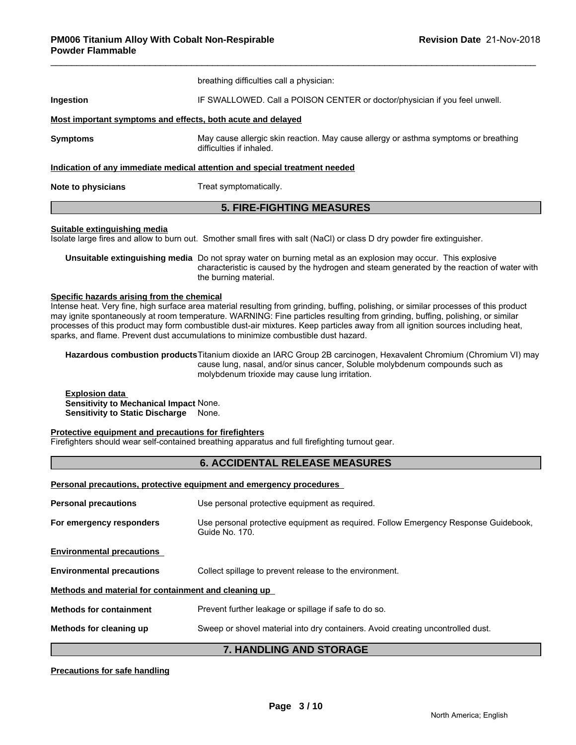|                                                             | <b>5. FIRE-FIGHTING MEASURES</b>                                                                                |
|-------------------------------------------------------------|-----------------------------------------------------------------------------------------------------------------|
| Note to physicians                                          | Treat symptomatically.                                                                                          |
|                                                             | Indication of any immediate medical attention and special treatment needed                                      |
| <b>Symptoms</b>                                             | May cause allergic skin reaction. May cause allergy or asthma symptoms or breathing<br>difficulties if inhaled. |
| Most important symptoms and effects, both acute and delayed |                                                                                                                 |
| <b>Ingestion</b>                                            | IF SWALLOWED. Call a POISON CENTER or doctor/physician if you feel unwell.                                      |
|                                                             | breathing difficulties call a physician:                                                                        |

### **Suitable extinguishing media**

Isolate large fires and allow to burn out. Smother small fires with salt (NaCl) or class D dry powder fire extinguisher.

**Unsuitable extinguishing media** Do not spray water on burning metal as an explosion may occur. This explosive characteristic is caused by the hydrogen and steam generated by the reaction of water with the burning material.

### **Specific hazards arising from the chemical**

Intense heat. Very fine, high surface area material resulting from grinding, buffing, polishing, or similar processes of this product may ignite spontaneously at room temperature. WARNING: Fine particles resulting from grinding, buffing, polishing, or similar processes of this product may form combustible dust-air mixtures. Keep particles away from all ignition sources including heat, sparks, and flame. Prevent dust accumulations to minimize combustible dust hazard.

**Hazardous combustion products**Titanium dioxide an IARC Group 2B carcinogen, Hexavalent Chromium (Chromium VI) may cause lung, nasal, and/or sinus cancer, Soluble molybdenum compounds such as molybdenum trioxide may cause lung irritation.

**Explosion data Sensitivity to Mechanical Impact** None. **Sensitivity to Static Discharge** None.

### **Protective equipment and precautions for firefighters**

Firefighters should wear self-contained breathing apparatus and full firefighting turnout gear.

### **6. ACCIDENTAL RELEASE MEASURES**

**Personal precautions, protective equipment and emergency procedures** 

| <b>Personal precautions</b>                          | Use personal protective equipment as required.                                                        |
|------------------------------------------------------|-------------------------------------------------------------------------------------------------------|
| For emergency responders                             | Use personal protective equipment as required. Follow Emergency Response Guidebook,<br>Guide No. 170. |
| <b>Environmental precautions</b>                     |                                                                                                       |
| <b>Environmental precautions</b>                     | Collect spillage to prevent release to the environment.                                               |
| Methods and material for containment and cleaning up |                                                                                                       |
| <b>Methods for containment</b>                       | Prevent further leakage or spillage if safe to do so.                                                 |
| Methods for cleaning up                              | Sweep or shovel material into dry containers. Avoid creating uncontrolled dust.                       |
|                                                      | <b>7 LIANDI ING AND STORAGE</b>                                                                       |

### **7. HANDLING AND STORAGE**

### **Precautions for safe handling**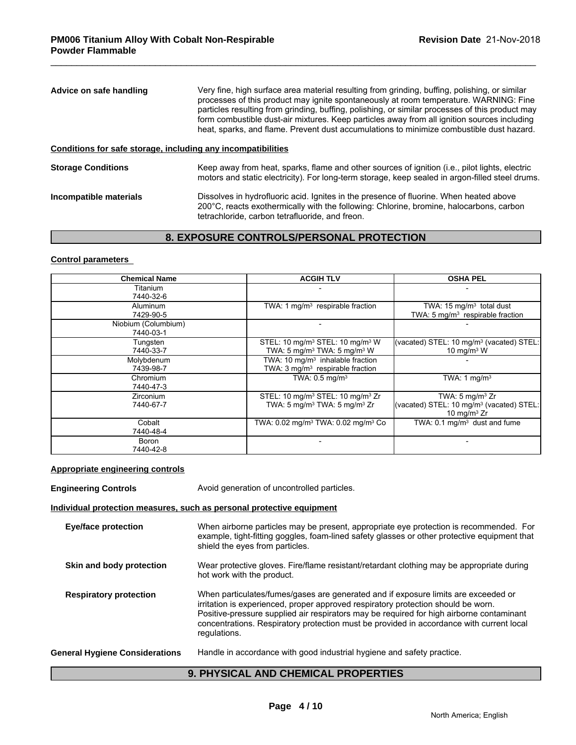| Very fine, high surface area material resulting from grinding, buffing, polishing, or similar<br>processes of this product may ignite spontaneously at room temperature. WARNING: Fine<br>particles resulting from grinding, buffing, polishing, or similar processes of this product may<br>form combustible dust-air mixtures. Keep particles away from all ignition sources including<br>heat, sparks, and flame. Prevent dust accumulations to minimize combustible dust hazard. |
|--------------------------------------------------------------------------------------------------------------------------------------------------------------------------------------------------------------------------------------------------------------------------------------------------------------------------------------------------------------------------------------------------------------------------------------------------------------------------------------|
| Conditions for safe storage, including any incompatibilities                                                                                                                                                                                                                                                                                                                                                                                                                         |
| Keep away from heat, sparks, flame and other sources of ignition (i.e., pilot lights, electric<br>motors and static electricity). For long-term storage, keep sealed in argon-filled steel drums.                                                                                                                                                                                                                                                                                    |
| Dissolves in hydrofluoric acid. Ignites in the presence of fluorine. When heated above<br>200°C, reacts exothermically with the following: Chlorine, bromine, halocarbons, carbon<br>tetrachloride, carbon tetrafluoride, and freon.                                                                                                                                                                                                                                                 |
|                                                                                                                                                                                                                                                                                                                                                                                                                                                                                      |

### **8. EXPOSURE CONTROLS/PERSONAL PROTECTION**

### **Control parameters**

| <b>Chemical Name</b> | <b>ACGIH TLV</b>                                           | <b>OSHA PEL</b>                                      |
|----------------------|------------------------------------------------------------|------------------------------------------------------|
| Titanium             |                                                            |                                                      |
| 7440-32-6            |                                                            |                                                      |
| <b>Aluminum</b>      | TWA: 1 $mq/m3$ respirable fraction                         | TWA: $15 \text{ mg/m}^3$ total dust                  |
| 7429-90-5            |                                                            | TWA: $5 \text{ mg/m}^3$ respirable fraction          |
| Niobium (Columbium)  |                                                            |                                                      |
| 7440-03-1            |                                                            |                                                      |
| Tungsten             | STEL: 10 mg/m <sup>3</sup> STEL: 10 mg/m <sup>3</sup> W    | (vacated) STEL: $10 \text{ mg/m}^3$ (vacated) STEL:  |
| 7440-33-7            | TWA: 5 mg/m <sup>3</sup> TWA: 5 mg/m <sup>3</sup> W        | 10 mg/m $3$ W                                        |
| Molybdenum           | TWA: $10 \text{ mg/m}^3$ inhalable fraction                |                                                      |
| 7439-98-7            | TWA: 3 mg/m <sup>3</sup> respirable fraction               |                                                      |
| Chromium             | TWA: $0.5 \text{ mg/m}^3$                                  | TWA: 1 $mq/m3$                                       |
| 7440-47-3            |                                                            |                                                      |
| <b>Zirconium</b>     | STEL: 10 mg/m <sup>3</sup> STEL: 10 mg/m <sup>3</sup> Zr   | TWA: $5 \text{ mg/m}^3$ Zr                           |
| 7440-67-7            | TWA: 5 mg/m <sup>3</sup> TWA: 5 mg/m <sup>3</sup> Zr       | (vacated) STEL: 10 mg/m <sup>3</sup> (vacated) STEL: |
|                      |                                                            | 10 mg/m $3$ Zr                                       |
| Cobalt               | TWA: 0.02 mg/m <sup>3</sup> TWA: 0.02 mg/m <sup>3</sup> Co | TWA: $0.1 \text{ mg/m}^3$ dust and fume              |
| 7440-48-4            |                                                            |                                                      |
| Boron                |                                                            |                                                      |
| 7440-42-8            |                                                            |                                                      |

### **Appropriate engineering controls**

**Engineering Controls Avoid generation of uncontrolled particles. Individual protection measures, such as personal protective equipment Eye/face protection** When airborne particles may be present, appropriate eye protection is recommended. For example, tight-fitting goggles, foam-lined safety glasses or other protective equipment that shield the eyes from particles. **Skin and body protection** Wear protective gloves. Fire/flame resistant/retardant clothing may be appropriate during hot work with the product. **Respiratory protection** When particulates/fumes/gases are generated and if exposure limits are exceeded or irritation is experienced, proper approved respiratory protection should be worn. Positive-pressure supplied air respirators may be required for high airborne contaminant concentrations. Respiratory protection must be provided in accordance with current local regulations. **General Hygiene Considerations** Handle in accordance with good industrial hygiene and safety practice. **9. PHYSICAL AND CHEMICAL PROPERTIES**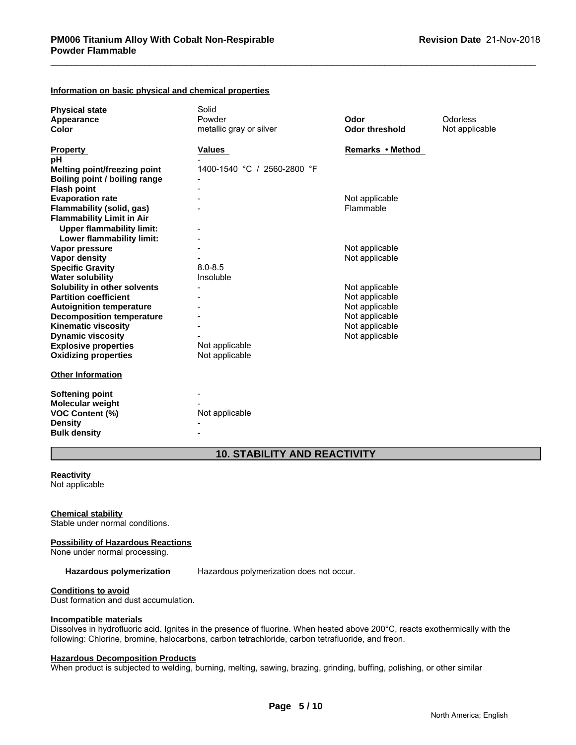### **Information on basic physical and chemical properties**

| <b>Physical state</b>               | Solid                       |                       |                |
|-------------------------------------|-----------------------------|-----------------------|----------------|
| Appearance                          | Powder                      | Odor                  | Odorless       |
| Color                               | metallic gray or silver     | <b>Odor threshold</b> | Not applicable |
|                                     |                             |                       |                |
| <b>Property</b>                     | Values                      | Remarks • Method      |                |
| pH                                  |                             |                       |                |
| <b>Melting point/freezing point</b> | 1400-1540 °C / 2560-2800 °F |                       |                |
| Boiling point / boiling range       |                             |                       |                |
| <b>Flash point</b>                  |                             |                       |                |
| <b>Evaporation rate</b>             |                             | Not applicable        |                |
| Flammability (solid, gas)           |                             | Flammable             |                |
| <b>Flammability Limit in Air</b>    |                             |                       |                |
| <b>Upper flammability limit:</b>    |                             |                       |                |
| Lower flammability limit:           |                             |                       |                |
| Vapor pressure                      |                             | Not applicable        |                |
| <b>Vapor density</b>                |                             | Not applicable        |                |
| <b>Specific Gravity</b>             | $8.0 - 8.5$                 |                       |                |
| <b>Water solubility</b>             | Insoluble                   |                       |                |
| Solubility in other solvents        |                             | Not applicable        |                |
| <b>Partition coefficient</b>        |                             | Not applicable        |                |
| <b>Autoignition temperature</b>     |                             | Not applicable        |                |
| <b>Decomposition temperature</b>    |                             | Not applicable        |                |
| <b>Kinematic viscosity</b>          |                             | Not applicable        |                |
| <b>Dynamic viscosity</b>            |                             | Not applicable        |                |
| <b>Explosive properties</b>         | Not applicable              |                       |                |
| <b>Oxidizing properties</b>         | Not applicable              |                       |                |
|                                     |                             |                       |                |
| <b>Other Information</b>            |                             |                       |                |
| <b>Softening point</b>              |                             |                       |                |
| <b>Molecular weight</b>             |                             |                       |                |
| <b>VOC Content (%)</b>              | Not applicable              |                       |                |
| <b>Density</b>                      |                             |                       |                |
|                                     |                             |                       |                |

## **10. STABILITY AND REACTIVITY**

### **Reactivity**

Not applicable

### **Chemical stability**

Stable under normal conditions.

### **Possibility of Hazardous Reactions**

**Bulk density** -

None under normal processing.

Hazardous polymerization Hazardous polymerization does not occur.

# **Conditions to avoid**

Dust formation and dust accumulation.

### **Incompatible materials**

Dissolves in hydrofluoric acid. Ignites in the presence of fluorine. When heated above 200°C, reacts exothermically with the following: Chlorine, bromine, halocarbons, carbon tetrachloride, carbon tetrafluoride, and freon.

### **Hazardous Decomposition Products**

When product is subjected to welding, burning, melting, sawing, brazing, grinding, buffing, polishing, or other similar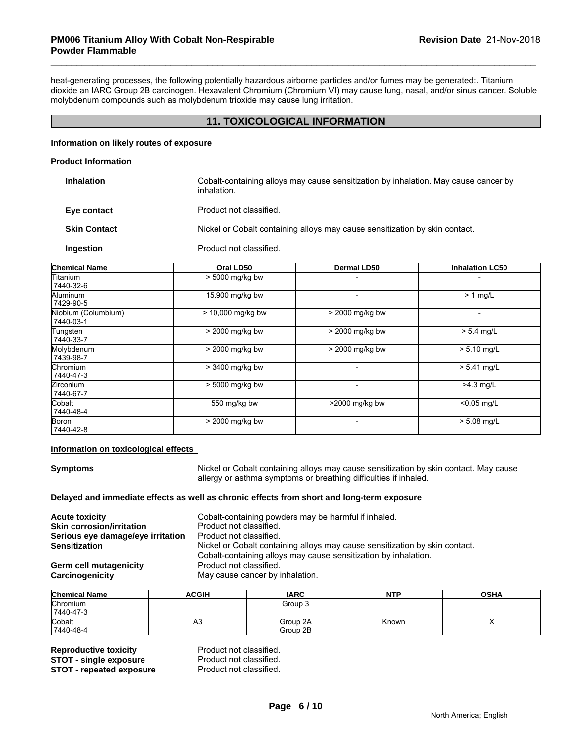heat-generating processes, the following potentially hazardous airborne particles and/or fumes may be generated:. Titanium dioxide an IARC Group 2B carcinogen. Hexavalent Chromium (Chromium VI) may cause lung, nasal, and/or sinus cancer. Soluble molybdenum compounds such as molybdenum trioxide may cause lung irritation.

### **11. TOXICOLOGICAL INFORMATION**

### **Information on likely routes of exposure**

### **Product Information**

| <b>Inhalation</b>   | Cobalt-containing alloys may cause sensitization by inhalation. May cause cancer by<br>inhalation. |
|---------------------|----------------------------------------------------------------------------------------------------|
| Eye contact         | Product not classified.                                                                            |
| <b>Skin Contact</b> | Nickel or Cobalt containing alloys may cause sensitization by skin contact.                        |
| Ingestion           | Product not classified.                                                                            |

| <b>Chemical Name</b>             | Oral LD50         | <b>Dermal LD50</b>       | <b>Inhalation LC50</b> |
|----------------------------------|-------------------|--------------------------|------------------------|
| Titanium<br>7440-32-6            | $> 5000$ mg/kg bw |                          |                        |
| Aluminum<br>7429-90-5            | 15,900 mg/kg bw   | $\overline{\phantom{0}}$ | $> 1$ mg/L             |
| Niobium (Columbium)<br>7440-03-1 | > 10,000 mg/kg bw | > 2000 mg/kg bw          |                        |
| Tungsten<br>7440-33-7            | > 2000 mg/kg bw   | > 2000 mg/kg bw          | $> 5.4$ mg/L           |
| Molybdenum<br>7439-98-7          | > 2000 mg/kg bw   | > 2000 mg/kg bw          | $> 5.10$ mg/L          |
| Chromium<br>7440-47-3            | > 3400 mg/kg bw   |                          | $> 5.41$ mg/L          |
| Zirconium<br>7440-67-7           | > 5000 mg/kg bw   |                          | $>4.3$ mg/L            |
| lCobalt<br>7440-48-4             | 550 mg/kg bw      | >2000 mg/kg bw           | $< 0.05$ mg/L          |
| Boron<br>7440-42-8               | > 2000 mg/kg bw   |                          | $> 5.08$ mg/L          |

### **Information on toxicological effects**

**Symptoms** Nickel or Cobalt containing alloys may cause sensitization by skin contact. May cause allergy or asthma symptoms or breathing difficulties if inhaled.

### **Delayed and immediate effects as well as chronic effects from short and long-term exposure**

| <b>Acute toxicity</b>             | Cobalt-containing powders may be harmful if inhaled.                        |
|-----------------------------------|-----------------------------------------------------------------------------|
| <b>Skin corrosion/irritation</b>  | Product not classified.                                                     |
| Serious eye damage/eye irritation | Product not classified.                                                     |
| <b>Sensitization</b>              | Nickel or Cobalt containing alloys may cause sensitization by skin contact. |
|                                   | Cobalt-containing alloys may cause sensitization by inhalation.             |
| Germ cell mutagenicity            | Product not classified.                                                     |
| Carcinogenicity                   | May cause cancer by inhalation.                                             |

| <b>Chemical Name</b> | <b>ACGIH</b> | <b>IARC</b> | <b>NTP</b> | <b>OSHA</b> |
|----------------------|--------------|-------------|------------|-------------|
| Chromium             |              | Group 3     |            |             |
| 7440-47-3            |              |             |            |             |
| Cobalt               | A3           | Group 2A    | Known      | ,,          |
| 7440-48-4            |              | Group 2B    |            |             |

**Reproductive toxicity Reproductive Product not classified.**<br> **STOT - single exposure** Product not classified. **STOT - single exposure** Product not classified.<br> **STOT - repeated exposure** Product not classified. **STOT - repeated exposure**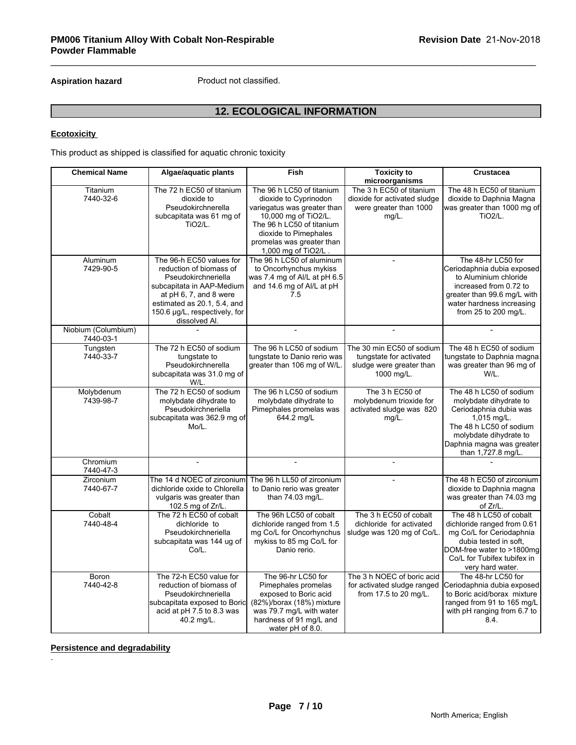# **12. ECOLOGICAL INFORMATION**

### **Ecotoxicity**

| Product not classified.<br><b>Aspiration hazard</b> |                                                                                                                                                                                                                    |                                                                                                                                                                                                                     |                                                                                                |                                                                                                                                                                                                      |  |  |  |  |
|-----------------------------------------------------|--------------------------------------------------------------------------------------------------------------------------------------------------------------------------------------------------------------------|---------------------------------------------------------------------------------------------------------------------------------------------------------------------------------------------------------------------|------------------------------------------------------------------------------------------------|------------------------------------------------------------------------------------------------------------------------------------------------------------------------------------------------------|--|--|--|--|
| <b>12. ECOLOGICAL INFORMATION</b>                   |                                                                                                                                                                                                                    |                                                                                                                                                                                                                     |                                                                                                |                                                                                                                                                                                                      |  |  |  |  |
| <b>Ecotoxicity</b>                                  |                                                                                                                                                                                                                    |                                                                                                                                                                                                                     |                                                                                                |                                                                                                                                                                                                      |  |  |  |  |
|                                                     | This product as shipped is classified for aquatic chronic toxicity                                                                                                                                                 |                                                                                                                                                                                                                     |                                                                                                |                                                                                                                                                                                                      |  |  |  |  |
| <b>Chemical Name</b>                                | Algae/aquatic plants                                                                                                                                                                                               | <b>Fish</b>                                                                                                                                                                                                         | <b>Toxicity to</b><br>microorganisms                                                           | <b>Crustacea</b>                                                                                                                                                                                     |  |  |  |  |
| Titanium<br>7440-32-6                               | The 72 h EC50 of titanium<br>dioxide to<br>Pseudokirchnerella<br>subcapitata was 61 mg of<br><b>TiO2/L.</b>                                                                                                        | The 96 h LC50 of titanium<br>dioxide to Cyprinodon<br>variegatus was greater than<br>10,000 mg of TiO2/L.<br>The 96 h LC50 of titanium<br>dioxide to Pimephales<br>promelas was greater than<br>1,000 mg of TiO2/L. | The 3 h EC50 of titanium<br>dioxide for activated sludge<br>were greater than 1000<br>mg/L.    | The 48 h EC50 of titanium<br>dioxide to Daphnia Magna<br>was greater than 1000 mg of<br>TiO <sub>2</sub> /L.                                                                                         |  |  |  |  |
| Aluminum<br>7429-90-5                               | The 96-h EC50 values for<br>reduction of biomass of<br>Pseudokirchneriella<br>subcapitata in AAP-Medium<br>at pH 6, 7, and 8 were<br>estimated as 20.1, 5.4, and<br>150.6 µg/L, respectively, for<br>dissolved Al. | The 96 h LC50 of aluminum<br>to Oncorhynchus mykiss<br>was 7.4 mg of Al/L at pH 6.5<br>and 14.6 mg of Al/L at pH<br>7.5                                                                                             |                                                                                                | The 48-hr LC50 for<br>Ceriodaphnia dubia exposed<br>to Aluminium chloride<br>increased from 0.72 to<br>greater than 99.6 mg/L with<br>water hardness increasing<br>from 25 to 200 mg/L.              |  |  |  |  |
| Niobium (Columbium)<br>7440-03-1                    |                                                                                                                                                                                                                    |                                                                                                                                                                                                                     |                                                                                                |                                                                                                                                                                                                      |  |  |  |  |
| Tungsten<br>7440-33-7                               | The 72 h EC50 of sodium<br>tungstate to<br>Pseudokirchnerella<br>subcapitata was 31.0 mg of<br>W/L.                                                                                                                | The 96 h LC50 of sodium<br>tungstate to Danio rerio was<br>greater than 106 mg of W/L                                                                                                                               | The 30 min EC50 of sodium<br>tungstate for activated<br>sludge were greater than<br>1000 mg/L. | The 48 h EC50 of sodium<br>tungstate to Daphnia magna<br>was greater than 96 mg of<br>W/L.                                                                                                           |  |  |  |  |
| Molybdenum<br>7439-98-7                             | The 72 h EC50 of sodium<br>molybdate dihydrate to<br>Pseudokirchneriella<br>subcapitata was 362.9 mg of<br>Mo/L.                                                                                                   | The 96 h LC50 of sodium<br>molybdate dihydrate to<br>Pimephales promelas was<br>644.2 mg/L                                                                                                                          | The 3 h EC50 of<br>molybdenum trioxide for<br>activated sludge was 820<br>mg/L.                | The 48 h LC50 of sodium<br>molybdate dihydrate to<br>Ceriodaphnia dubia was<br>$1,015$ mg/L.<br>The 48 h LC50 of sodium<br>molybdate dihydrate to<br>Daphnia magna was greater<br>than 1,727.8 mg/L. |  |  |  |  |
| Chromium<br>7440-47-3                               | $\overline{a}$                                                                                                                                                                                                     | $\overline{a}$                                                                                                                                                                                                      |                                                                                                |                                                                                                                                                                                                      |  |  |  |  |
| Zirconium<br>7440-67-7                              | The 14 d NOEC of zirconium<br>dichloride oxide to Chlorella<br>vulgaris was greater than<br>102.5 mg of Zr/L.                                                                                                      | The 96 h LL50 of zirconium<br>to Danio rerio was greater<br>than 74.03 mg/L.                                                                                                                                        |                                                                                                | The 48 h EC50 of zirconium<br>dioxide to Daphnia magna<br>was greater than 74.03 mg<br>of Zr/L.                                                                                                      |  |  |  |  |
| Cobalt<br>7440-48-4                                 | The 72 h EC50 of cobalt<br>dichloride to<br>Pseudokirchneriella<br>subcapitata was 144 ug of<br>Co/L.                                                                                                              | The 96h LC50 of cobalt<br>dichloride ranged from 1.5<br>mg Co/L for Oncorhynchus<br>mykiss to 85 mg Co/L for<br>Danio rerio.                                                                                        | The 3 h EC50 of cobalt<br>dichloride for activated<br>sludge was 120 mg of Co/L.               | The 48 h LC50 of cobalt<br>dichloride ranged from 0.61<br>mg Co/L for Ceriodaphnia<br>dubia tested in soft,<br>DOM-free water to >1800mg<br>Co/L for Tubifex tubifex in<br>very hard water.          |  |  |  |  |
| Boron<br>7440-42-8                                  | The 72-h EC50 value for<br>reduction of biomass of<br>Pseudokirchneriella<br>subcapitata exposed to Boric<br>acid at pH 7.5 to 8.3 was<br>40.2 mg/L.                                                               | The 96-hr LC50 for<br>Pimephales promelas<br>exposed to Boric acid<br>(82%)/borax (18%) mixture<br>was 79.7 mg/L with water<br>hardness of 91 mg/L and<br>water pH of 8.0.                                          | The 3 h NOEC of boric acid<br>for activated sludge ranged<br>from 17.5 to 20 mg/L.             | The 48-hr LC50 for<br>Ceriodaphnia dubia exposed<br>to Boric acid/borax mixture<br>ranged from 91 to 165 mg/L<br>with pH ranging from 6.7 to<br>8.4.                                                 |  |  |  |  |

**Persistence and degradability**

.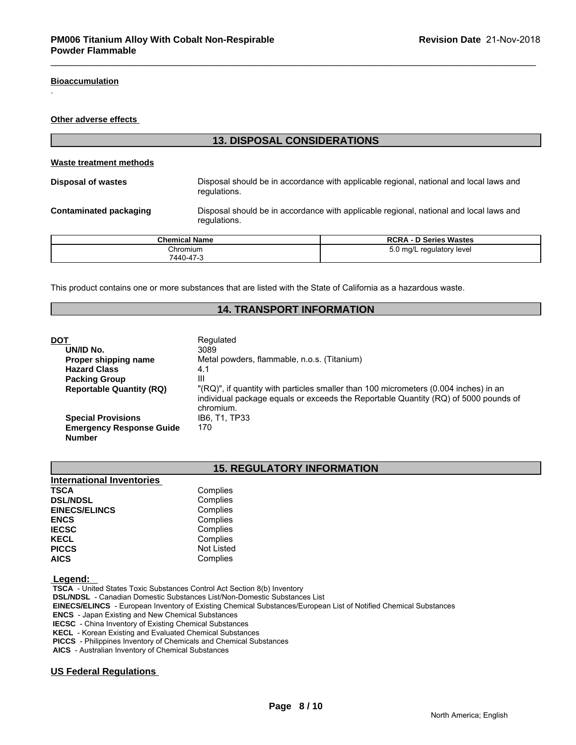### **Bioaccumulation**

.

**Other adverse effects** 

| <b>13. DISPOSAL CONSIDERATIONS</b>                                                                                                      |                      |                                                                                        |  |  |  |  |
|-----------------------------------------------------------------------------------------------------------------------------------------|----------------------|----------------------------------------------------------------------------------------|--|--|--|--|
| Waste treatment methods                                                                                                                 |                      |                                                                                        |  |  |  |  |
| <b>Disposal of wastes</b>                                                                                                               | regulations.         | Disposal should be in accordance with applicable regional, national and local laws and |  |  |  |  |
| Disposal should be in accordance with applicable regional, national and local laws and<br><b>Contaminated packaging</b><br>regulations. |                      |                                                                                        |  |  |  |  |
|                                                                                                                                         | <b>Chemical Name</b> | <b>RCRA - D Series Wastes</b>                                                          |  |  |  |  |
| 5.0 mg/L regulatory level<br>Chromium<br>7440-47-3                                                                                      |                      |                                                                                        |  |  |  |  |

This product contains one or more substances that are listed with the State of California as a hazardous waste.

### **14. TRANSPORT INFORMATION**

| DOT                                              | Regulated                                                                                                                                                                                |
|--------------------------------------------------|------------------------------------------------------------------------------------------------------------------------------------------------------------------------------------------|
| UN/ID No.                                        | 3089                                                                                                                                                                                     |
| Proper shipping name                             | Metal powders, flammable, n.o.s. (Titanium)                                                                                                                                              |
| <b>Hazard Class</b>                              | 4.1                                                                                                                                                                                      |
| <b>Packing Group</b>                             | Ш                                                                                                                                                                                        |
| <b>Reportable Quantity (RQ)</b>                  | "(RQ)", if quantity with particles smaller than 100 micrometers (0.004 inches) in an<br>individual package equals or exceeds the Reportable Quantity (RQ) of 5000 pounds of<br>chromium. |
| <b>Special Provisions</b>                        | IB6. T1. TP33                                                                                                                                                                            |
| <b>Emergency Response Guide</b><br><b>Number</b> | 170                                                                                                                                                                                      |

# **15. REGULATORY INFORMATION**

| <b>International Inventories</b> |                   |  |
|----------------------------------|-------------------|--|
| <b>TSCA</b>                      | Complies          |  |
| <b>DSL/NDSL</b>                  | Complies          |  |
| <b>EINECS/ELINCS</b>             | Complies          |  |
| <b>ENCS</b>                      | Complies          |  |
| <b>IECSC</b>                     | Complies          |  |
| <b>KECL</b>                      | Complies          |  |
| <b>PICCS</b>                     | <b>Not Listed</b> |  |
| <b>AICS</b>                      | Complies          |  |

### **Legend:**

 **TSCA** - United States Toxic Substances Control Act Section 8(b) Inventory

 **DSL/NDSL** - Canadian Domestic Substances List/Non-Domestic Substances List

 **EINECS/ELINCS** - European Inventory of Existing Chemical Substances/European List of Notified Chemical Substances

 **ENCS** - Japan Existing and New Chemical Substances

 **IECSC** - China Inventory of Existing Chemical Substances

 **KECL** - Korean Existing and Evaluated Chemical Substances

 **PICCS** - Philippines Inventory of Chemicals and Chemical Substances

 **AICS** - Australian Inventory of Chemical Substances

### **US Federal Regulations**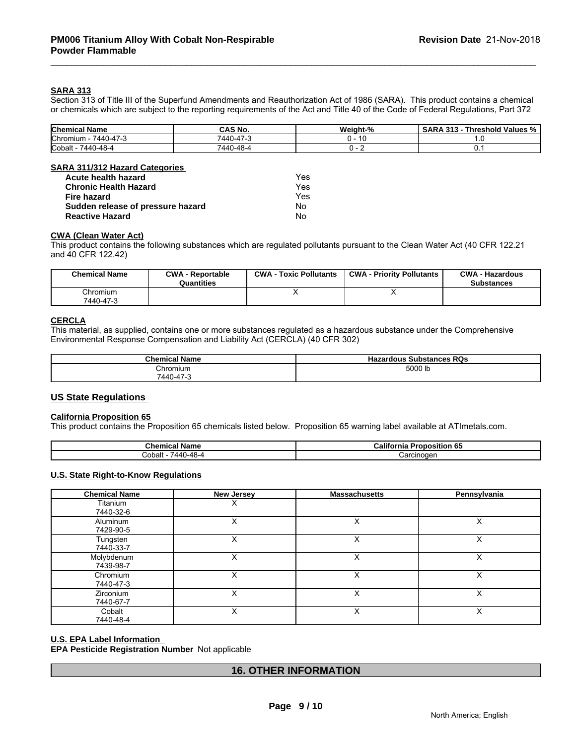## **SARA 313**

Section 313 of Title III of the Superfund Amendments and Reauthorization Act of 1986 (SARA). This product contains a chemical or chemicals which are subject to the reporting requirements of the Act and Title 40 of the Code of Federal Regulations, Part 372

| <b>Chemical Name</b>                                   | <b>CAS No.</b>                                   | Weight-%<br>$\sim$ $\sim$ $\sim$ | .<br>$ -$<br>242<br>hreshold<br>ˈValues %<br>$\mathbf{r}$<br>. |
|--------------------------------------------------------|--------------------------------------------------|----------------------------------|----------------------------------------------------------------|
| $\rightarrow$<br><b>Chromium</b><br>7440<br>. . 47 - J | $\rightarrow$<br>$\Delta A \Gamma$<br>---<br>־שד | .                                |                                                                |
| Cobalt<br>0-48-4<br>7440                               | 7440<br>$\epsilon$<br>40-48-                     |                                  |                                                                |

### **SARA 311/312 Hazard Categories**

| Acute health hazard               | Yes |
|-----------------------------------|-----|
| <b>Chronic Health Hazard</b>      | Yes |
| Fire hazard                       | Yes |
| Sudden release of pressure hazard | Nο  |
| <b>Reactive Hazard</b>            | No  |

### **CWA (Clean Water Act)**

| Acute health hazard                         |                                       | Yes                           |                                                                                                                              |                                             |
|---------------------------------------------|---------------------------------------|-------------------------------|------------------------------------------------------------------------------------------------------------------------------|---------------------------------------------|
| <b>Chronic Health Hazard</b><br>Fire hazard |                                       | Yes                           |                                                                                                                              |                                             |
|                                             |                                       | Yes                           |                                                                                                                              |                                             |
| Sudden release of pressure hazard           |                                       | No                            |                                                                                                                              |                                             |
| <b>Reactive Hazard</b>                      |                                       | No.                           |                                                                                                                              |                                             |
| <b>CWA (Clean Water Act)</b>                |                                       |                               |                                                                                                                              |                                             |
| and 40 CFR 122.42)                          |                                       |                               | This product contains the following substances which are regulated pollutants pursuant to the Clean Water Act (40 CFR 122.21 |                                             |
| <b>Chemical Name</b>                        | <b>CWA - Reportable</b><br>Quantities | <b>CWA - Toxic Pollutants</b> | <b>CWA - Priority Pollutants</b>                                                                                             | <b>CWA - Hazardous</b><br><b>Substances</b> |

### **CERCLA**

This material, as supplied, contains one or more substances regulated as a hazardous substance under the Comprehensive Environmental Response Compensation and Liability Act (CERCLA) (40 CFR 302)

| <b>Chemical Name</b> | <b>RQs</b><br>: Substances<br>Hazardous |
|----------------------|-----------------------------------------|
| Chromium             | 5000 lb                                 |
| 7440-47-3            |                                         |

### **US State Regulations**

### **California Proposition 65**

This product contains the Proposition 65 chemicals listed below. Proposition 65 warning label available at ATImetals.com.

| Chemical<br>' Nam⊾         | California<br>.<br>Proposition 65 |  |
|----------------------------|-----------------------------------|--|
| Cobalt<br>7440<br>l I–48–4 | ;arcinoɑen<br>$\sim$              |  |

### **U.S. State Right-to-Know Regulations**

| <b>Chemical Name</b>          | <b>New Jersey</b> | <b>Massachusetts</b> | Pennsylvania |  |
|-------------------------------|-------------------|----------------------|--------------|--|
| Titanium<br>7440-32-6         |                   |                      |              |  |
| Aluminum<br>7429-90-5         |                   |                      | х            |  |
| Tungsten<br>7440-33-7         | X                 | X                    | X            |  |
| Molybdenum<br>7439-98-7       | Х                 | Х                    | X            |  |
| Chromium<br>7440-47-3         | X                 | X                    | X            |  |
| <b>Zirconium</b><br>7440-67-7 |                   | Х                    | х            |  |
| Cobalt<br>7440-48-4           | X                 | Х                    | X            |  |

### **U.S. EPA Label Information**

**EPA Pesticide Registration Number** Not applicable

# **16. OTHER INFORMATION**